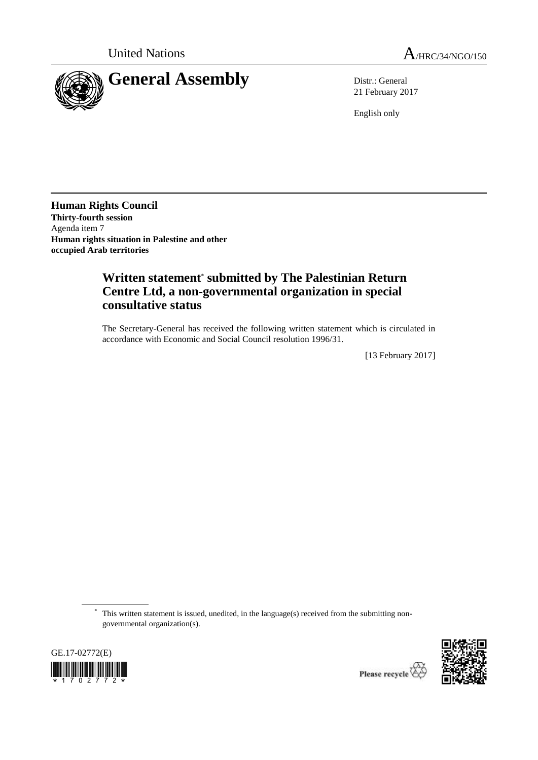

21 February 2017

English only

**Human Rights Council Thirty-fourth session** Agenda item 7 **Human rights situation in Palestine and other occupied Arab territories**

## **Written statement**\* **submitted by The Palestinian Return Centre Ltd, a non-governmental organization in special consultative status**

The Secretary-General has received the following written statement which is circulated in accordance with Economic and Social Council resolution 1996/31.

[13 February 2017]

\* This written statement is issued, unedited, in the language(s) received from the submitting nongovernmental organization(s).



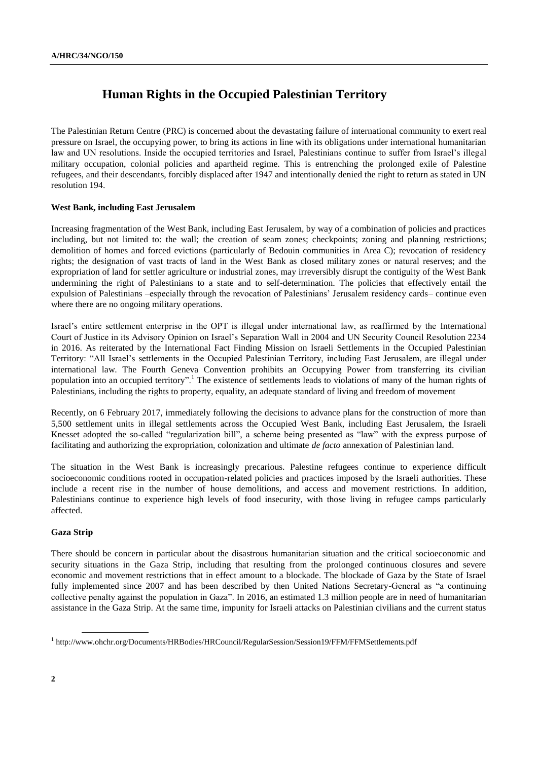# **Human Rights in the Occupied Palestinian Territory**

The Palestinian Return Centre (PRC) is concerned about the devastating failure of international community to exert real pressure on Israel, the occupying power, to bring its actions in line with its obligations under international humanitarian law and UN resolutions. Inside the occupied territories and Israel, Palestinians continue to suffer from Israel's illegal military occupation, colonial policies and apartheid regime. This is entrenching the prolonged exile of Palestine refugees, and their descendants, forcibly displaced after 1947 and intentionally denied the right to return as stated in UN resolution 194.

### **West Bank, including East Jerusalem**

Increasing fragmentation of the West Bank, including East Jerusalem, by way of a combination of policies and practices including, but not limited to: the wall; the creation of seam zones; checkpoints; zoning and planning restrictions; demolition of homes and forced evictions (particularly of Bedouin communities in Area C); revocation of residency rights; the designation of vast tracts of land in the West Bank as closed military zones or natural reserves; and the expropriation of land for settler agriculture or industrial zones, may irreversibly disrupt the contiguity of the West Bank undermining the right of Palestinians to a state and to self-determination. The policies that effectively entail the expulsion of Palestinians –especially through the revocation of Palestinians' Jerusalem residency cards– continue even where there are no ongoing military operations.

Israel's entire settlement enterprise in the OPT is illegal under international law, as reaffirmed by the International Court of Justice in its Advisory Opinion on Israel's Separation Wall in 2004 and UN Security Council Resolution 2234 in 2016. As reiterated by the International Fact Finding Mission on Israeli Settlements in the Occupied Palestinian Territory: "All Israel's settlements in the Occupied Palestinian Territory, including East Jerusalem, are illegal under international law. The Fourth Geneva Convention prohibits an Occupying Power from transferring its civilian population into an occupied territory".<sup>1</sup> The existence of settlements leads to violations of many of the human rights of Palestinians, including the rights to property, equality, an adequate standard of living and freedom of movement

Recently, on 6 February 2017, immediately following the decisions to advance plans for the construction of more than 5,500 settlement units in illegal settlements across the Occupied West Bank, including East Jerusalem, the Israeli Knesset adopted the so-called "regularization bill", a scheme being presented as "law" with the express purpose of facilitating and authorizing the expropriation, colonization and ultimate *de facto* annexation of Palestinian land.

The situation in the West Bank is increasingly precarious. Palestine refugees continue to experience difficult socioeconomic conditions rooted in occupation-related policies and practices imposed by the Israeli authorities. These include a recent rise in the number of house demolitions, and access and movement restrictions. In addition, Palestinians continue to experience high levels of food insecurity, with those living in refugee camps particularly affected.

### **Gaza Strip**

There should be concern in particular about the disastrous humanitarian situation and the critical socioeconomic and security situations in the Gaza Strip, including that resulting from the prolonged continuous closures and severe economic and movement restrictions that in effect amount to a blockade. The blockade of Gaza by the State of Israel fully implemented since 2007 and has been described by then United Nations Secretary-General as "a continuing collective penalty against the population in Gaza". In 2016, an estimated 1.3 million people are in need of humanitarian assistance in the Gaza Strip. At the same time, impunity for Israeli attacks on Palestinian civilians and the current status

<sup>1</sup> http://www.ohchr.org/Documents/HRBodies/HRCouncil/RegularSession/Session19/FFM/FFMSettlements.pdf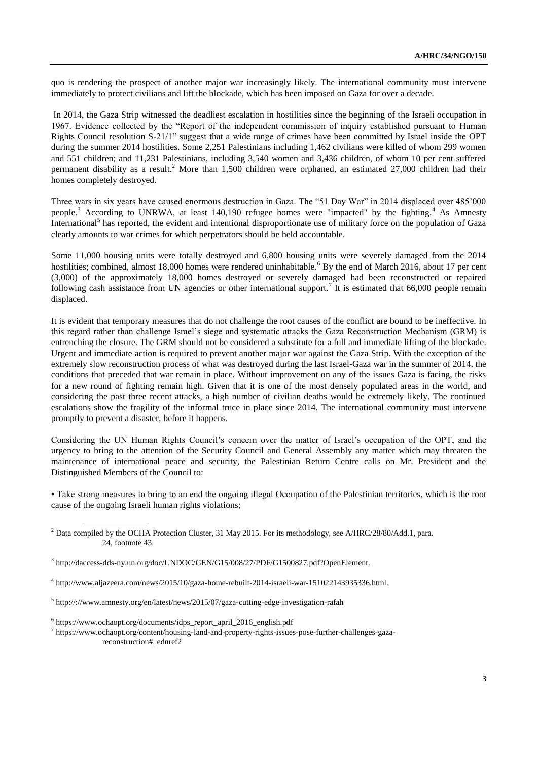quo is rendering the prospect of another major war increasingly likely. The international community must intervene immediately to protect civilians and lift the blockade, which has been imposed on Gaza for over a decade.

In 2014, the Gaza Strip witnessed the deadliest escalation in hostilities since the beginning of the Israeli occupation in 1967. Evidence collected by the "Report of the independent commission of inquiry established pursuant to Human Rights Council resolution S-21/1" suggest that a wide range of crimes have been committed by Israel inside the OPT during the summer 2014 hostilities. Some 2,251 Palestinians including 1,462 civilians were killed of whom 299 women and 551 children; and 11,231 Palestinians, including 3,540 women and 3,436 children, of whom 10 per cent suffered permanent disability as a result.<sup>2</sup> More than 1,500 children were orphaned, an estimated 27,000 children had their homes completely destroyed.

Three wars in six years have caused enormous destruction in Gaza. The "51 Day War" in 2014 displaced over 485'000 people.<sup>3</sup> According to UNRWA, at least 140,190 refugee homes were "impacted" by the fighting.<sup>4</sup> As Amnesty International<sup>5</sup> has reported, the evident and intentional disproportionate use of military force on the population of Gaza clearly amounts to war crimes for which perpetrators should be held accountable.

Some 11,000 housing units were totally destroyed and 6,800 housing units were severely damaged from the 2014 hostilities; combined, almost 18,000 homes were rendered uninhabitable.<sup>6</sup> By the end of March 2016, about 17 per cent (3,000) of the approximately 18,000 homes destroyed or severely damaged had been reconstructed or repaired following cash assistance from UN agencies or other international support.<sup>7</sup> It is estimated that 66,000 people remain displaced.

It is evident that temporary measures that do not challenge the root causes of the conflict are bound to be ineffective. In this regard rather than challenge Israel's siege and systematic attacks the Gaza Reconstruction Mechanism (GRM) is entrenching the closure. The GRM should not be considered a substitute for a full and immediate lifting of the blockade. Urgent and immediate action is required to prevent another major war against the Gaza Strip. With the exception of the extremely slow reconstruction process of what was destroyed during the last Israel-Gaza war in the summer of 2014, the conditions that preceded that war remain in place. Without improvement on any of the issues Gaza is facing, the risks for a new round of fighting remain high. Given that it is one of the most densely populated areas in the world, and considering the past three recent attacks, a high number of civilian deaths would be extremely likely. The continued escalations show the fragility of the informal truce in place since 2014. The international community must intervene promptly to prevent a disaster, before it happens.

Considering the UN Human Rights Council's concern over the matter of Israel's occupation of the OPT, and the urgency to bring to the attention of the Security Council and General Assembly any matter which may threaten the maintenance of international peace and security, the Palestinian Return Centre calls on Mr. President and the Distinguished Members of the Council to:

• Take strong measures to bring to an end the ongoing illegal Occupation of the Palestinian territories, which is the root cause of the ongoing Israeli human rights violations;

7 https://www.ochaopt.org/content/housing-land-and-property-rights-issues-pose-further-challenges-gazareconstruction#\_ednref2

<sup>&</sup>lt;sup>2</sup> Data compiled by the OCHA Protection Cluster, 31 May 2015. For its methodology, see A/HRC/28/80/Add.1, para. 24, footnote 43.

<sup>3</sup> http://daccess-dds-ny.un.org/doc/UNDOC/GEN/G15/008/27/PDF/G1500827.pdf?OpenElement.

<sup>&</sup>lt;sup>4</sup> http://www.aljazeera.com/news/2015/10/gaza-home-rebuilt-2014-israeli-war-151022143935336.html.

<sup>5</sup> http://://www.amnesty.org/en/latest/news/2015/07/gaza-cutting-edge-investigation-rafah

<sup>6</sup> https://www.ochaopt.org/documents/idps\_report\_april\_2016\_english.pdf